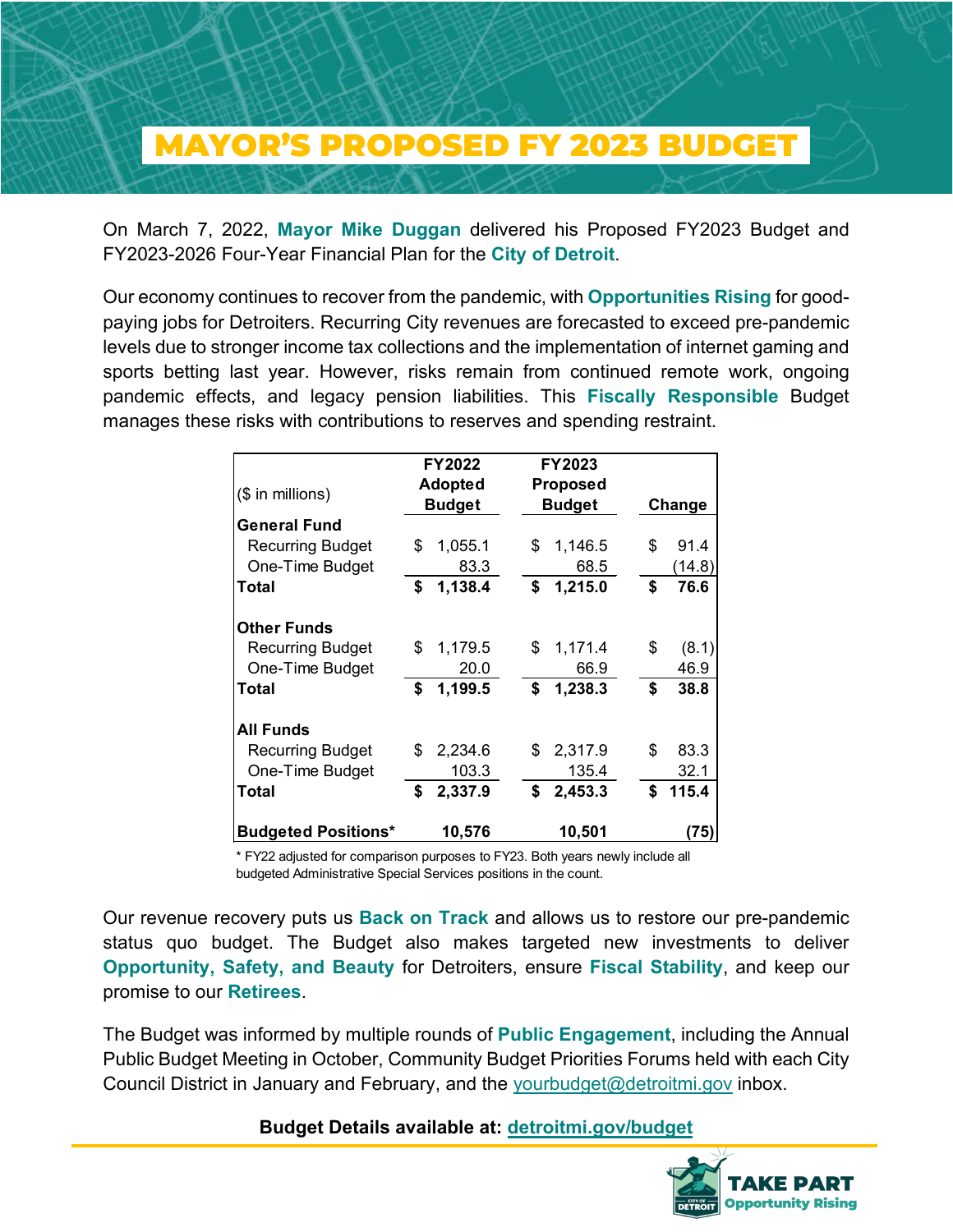## \_MAYOR'S PROPOSED FY 2023 BUDGET\_

On March 7, 2022, **Mayor Mike Duggan** delivered his Proposed FY2023 Budget and FY2023-2026 Four-Year Financial Plan for the **City of Detroit**.

Our economy continues to recover from the pandemic, with **Opportunities Rising** for goodpaying jobs for Detroiters. Recurring City revenues are forecasted to exceed pre-pandemic levels due to stronger income tax collections and the implementation of internet gaming and sports betting last year. However, risks remain from continued remote work, ongoing pandemic effects, and legacy pension liabilities. This **Fiscally Responsible** Budget manages these risks with contributions to reserves and spending restraint.

| $($$ in millions)          | <b>FY2022</b><br><b>Adopted</b><br><b>Budget</b> |         | <b>FY2023</b><br><b>Proposed</b><br><b>Budget</b> |    | Change  |  |
|----------------------------|--------------------------------------------------|---------|---------------------------------------------------|----|---------|--|
| <b>General Fund</b>        |                                                  |         |                                                   |    |         |  |
| <b>Recurring Budget</b>    | \$                                               | 1,055.1 | \$<br>1,146.5                                     | \$ | 91.4    |  |
| One-Time Budget            |                                                  | 83.3    | 68.5                                              |    | (14.8)  |  |
| Total                      | \$                                               | 1,138.4 | \$<br>1,215.0                                     | \$ | 76.6    |  |
| <b>Other Funds</b>         |                                                  |         |                                                   |    |         |  |
| <b>Recurring Budget</b>    | \$                                               | 1,179.5 | \$<br>1,171.4                                     | \$ | (8.1)   |  |
| One-Time Budget            |                                                  | 20.0    | 66.9                                              |    | 46.9    |  |
| <b>Total</b>               | \$                                               | 1,199.5 | \$<br>1,238.3                                     | \$ | 38.8    |  |
| <b>All Funds</b>           |                                                  |         |                                                   |    |         |  |
| <b>Recurring Budget</b>    | \$                                               | 2,234.6 | \$<br>2,317.9                                     | \$ | 83.3    |  |
| One-Time Budget            |                                                  | 103.3   | 135.4                                             |    | 32.1    |  |
| <b>Total</b>               | \$                                               | 2,337.9 | \$<br>2,453.3                                     |    | \$115.4 |  |
| <b>Budgeted Positions*</b> |                                                  | 10,576  | 10,501                                            |    | (75)    |  |

\* FY22 adjusted for comparison purposes to FY23. Both years newly include all budgeted Administrative Special Services positions in the count.

Our revenue recovery puts us **Back on Track** and allows us to restore our pre-pandemic status quo budget. The Budget also makes targeted new investments to deliver **Opportunity, Safety, and Beauty** for Detroiters, ensure **Fiscal Stability**, and keep our promise to our **Retirees**.

The Budget was informed by multiple rounds of **Public Engagement**, including the Annual Public Budget Meeting in October, Community Budget Priorities Forums held with each City Council District in January and February, and the [yourbudget@detroitmi.gov](mailto:yourbudget@detroitmi.gov) inbox.

**Budget Details available at: [detroitmi.gov/budget](https://detroitmi.gov/budget)**